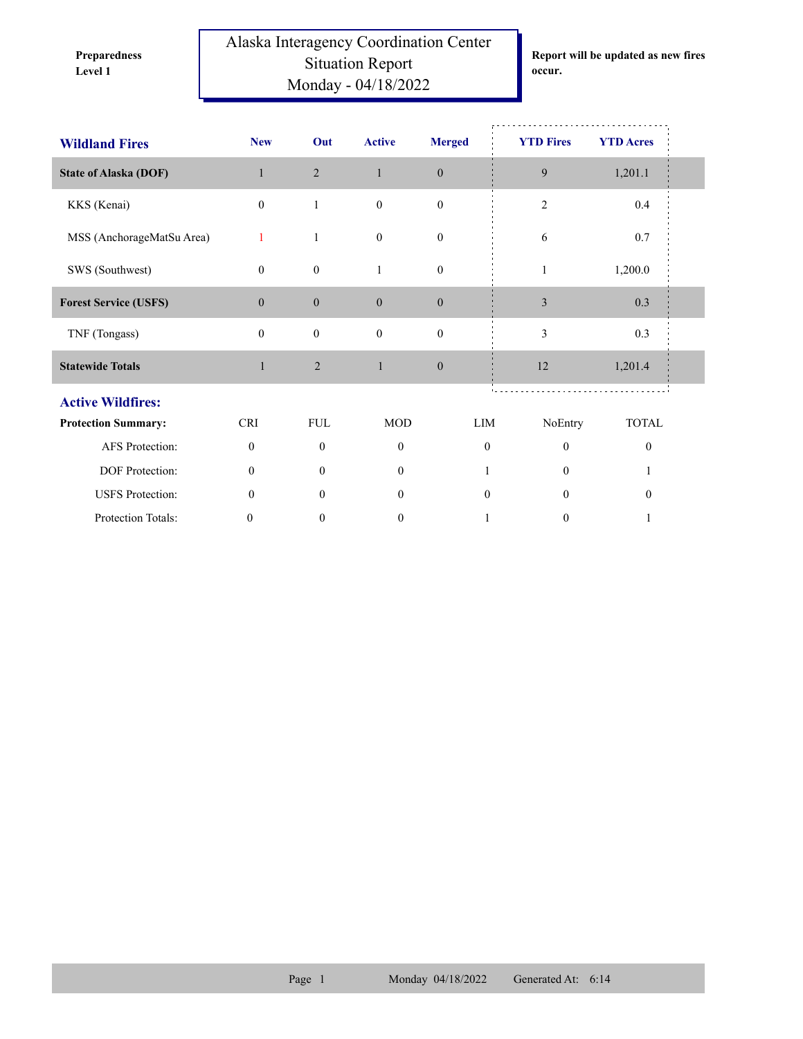**Preparedness** 

Alaska Interagency Coordination Center Situation Report **Level 1 occur.** Monday - 04/18/2022

**Report will be updated as new fires** 

| <b>Wildland Fires</b>        | <b>New</b>       | Out              | <b>Active</b>    | <b>Merged</b>    |              | <b>YTD Fires</b> | <b>YTD</b> Acres |  |
|------------------------------|------------------|------------------|------------------|------------------|--------------|------------------|------------------|--|
| <b>State of Alaska (DOF)</b> | $\mathbf{1}$     | $\overline{2}$   | $\mathbf{1}$     | $\boldsymbol{0}$ |              | 9                | 1,201.1          |  |
| KKS (Kenai)                  | $\mathbf{0}$     | $\mathbf{1}$     | $\mathbf{0}$     | $\mathbf{0}$     |              | $\mathbf{2}$     | 0.4              |  |
| MSS (AnchorageMatSu Area)    | 1                | $\mathbf{1}$     | $\mathbf{0}$     | $\boldsymbol{0}$ |              | 6                | 0.7              |  |
| SWS (Southwest)              | $\overline{0}$   | $\boldsymbol{0}$ | 1                | $\boldsymbol{0}$ |              | 1                | 1,200.0          |  |
| <b>Forest Service (USFS)</b> | $\overline{0}$   | $\boldsymbol{0}$ | $\mathbf{0}$     | $\boldsymbol{0}$ |              | $\mathfrak{Z}$   | 0.3              |  |
| TNF (Tongass)                | $\overline{0}$   | $\boldsymbol{0}$ | $\boldsymbol{0}$ | $\mathbf{0}$     |              | 3                | 0.3              |  |
| <b>Statewide Totals</b>      | $\mathbf{1}$     | $\overline{2}$   | $\mathbf{1}$     | $\boldsymbol{0}$ |              | 12               | 1,201.4          |  |
| <b>Active Wildfires:</b>     |                  |                  |                  |                  |              |                  |                  |  |
| <b>Protection Summary:</b>   | <b>CRI</b>       | <b>FUL</b>       | <b>MOD</b>       |                  | LIM          | NoEntry          | TOTAL            |  |
| AFS Protection:              | $\mathbf{0}$     | $\mathbf{0}$     | $\mathbf{0}$     |                  | $\mathbf{0}$ | $\mathbf{0}$     | $\mathbf{0}$     |  |
| DOF Protection:              | $\mathbf{0}$     | $\theta$         | $\overline{0}$   |                  |              | $\theta$         |                  |  |
| <b>USFS</b> Protection:      | $\mathbf{0}$     | $\theta$         | $\overline{0}$   |                  | $\mathbf{0}$ | $\theta$         | $\mathbf{0}$     |  |
| Protection Totals:           | $\boldsymbol{0}$ | $\boldsymbol{0}$ | $\mathbf{0}$     |                  | 1            | $\mathbf{0}$     | 1                |  |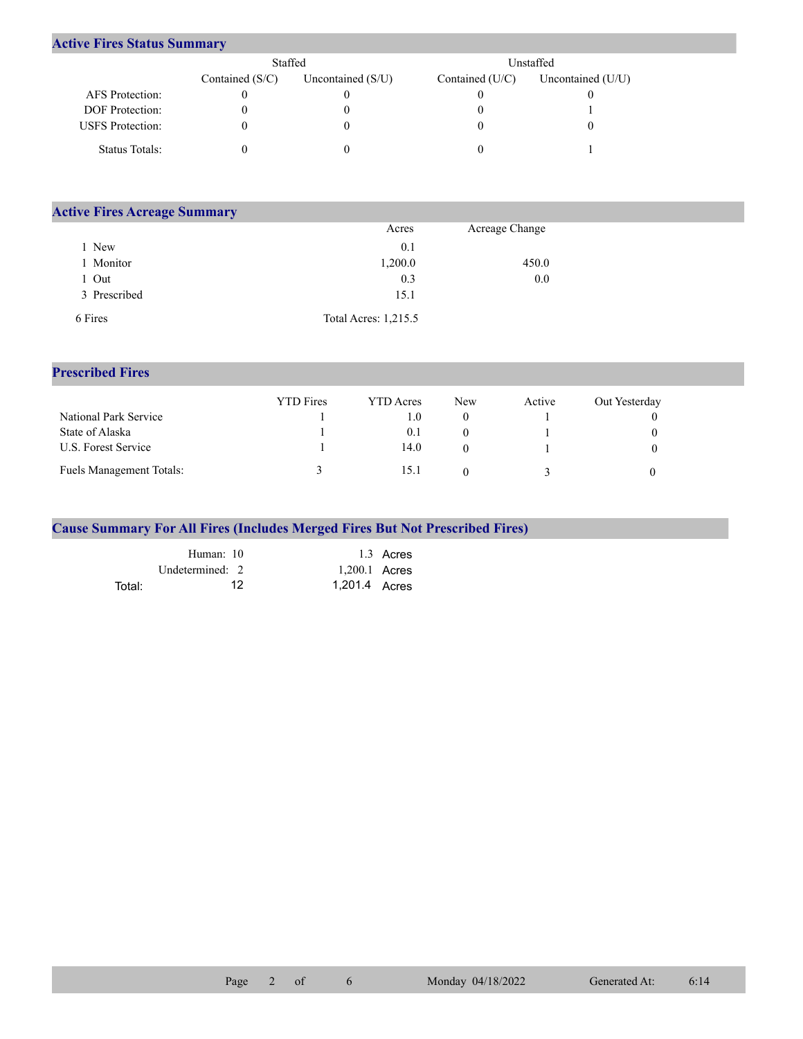## **Active Fires Status Summary**

|                         | Staffed           |                     | Unstaffed       |                     |  |  |
|-------------------------|-------------------|---------------------|-----------------|---------------------|--|--|
|                         | Contained $(S/C)$ | Uncontained $(S/U)$ | Contained (U/C) | Uncontained $(U/U)$ |  |  |
| AFS Protection:         |                   |                     |                 |                     |  |  |
| <b>DOF</b> Protection:  |                   |                     |                 |                     |  |  |
| <b>USFS</b> Protection: |                   |                     |                 |                     |  |  |
| Status Totals:          |                   |                     |                 |                     |  |  |

| <b>Active Fires Acreage Summary</b> |                      |                |  |  |  |  |  |
|-------------------------------------|----------------------|----------------|--|--|--|--|--|
|                                     | Acres                | Acreage Change |  |  |  |  |  |
| New                                 | 0.1                  |                |  |  |  |  |  |
| Monitor                             | 1,200.0              | 450.0          |  |  |  |  |  |
| Out                                 | 0.3                  | 0.0            |  |  |  |  |  |
| 3 Prescribed                        | 15.1                 |                |  |  |  |  |  |
| 6 Fires                             | Total Acres: 1,215.5 |                |  |  |  |  |  |

## **Prescribed Fires**

|                                 | <b>YTD</b> Fires | <b>YTD</b> Acres | New | Active | Out Yesterday |
|---------------------------------|------------------|------------------|-----|--------|---------------|
| National Park Service           |                  | 1.0              |     |        |               |
| State of Alaska                 |                  | (0.1)            |     |        |               |
| U.S. Forest Service             |                  | 14.0             |     |        |               |
| <b>Fuels Management Totals:</b> |                  | 15.1             |     |        |               |

## **Cause Summary For All Fires (Includes Merged Fires But Not Prescribed Fires)**

|        | Human: 10         |                 | 1.3 Acres |
|--------|-------------------|-----------------|-----------|
|        | Undetermined: $2$ | $1,200.1$ Acres |           |
| Total: | 12                | 1,201.4 Acres   |           |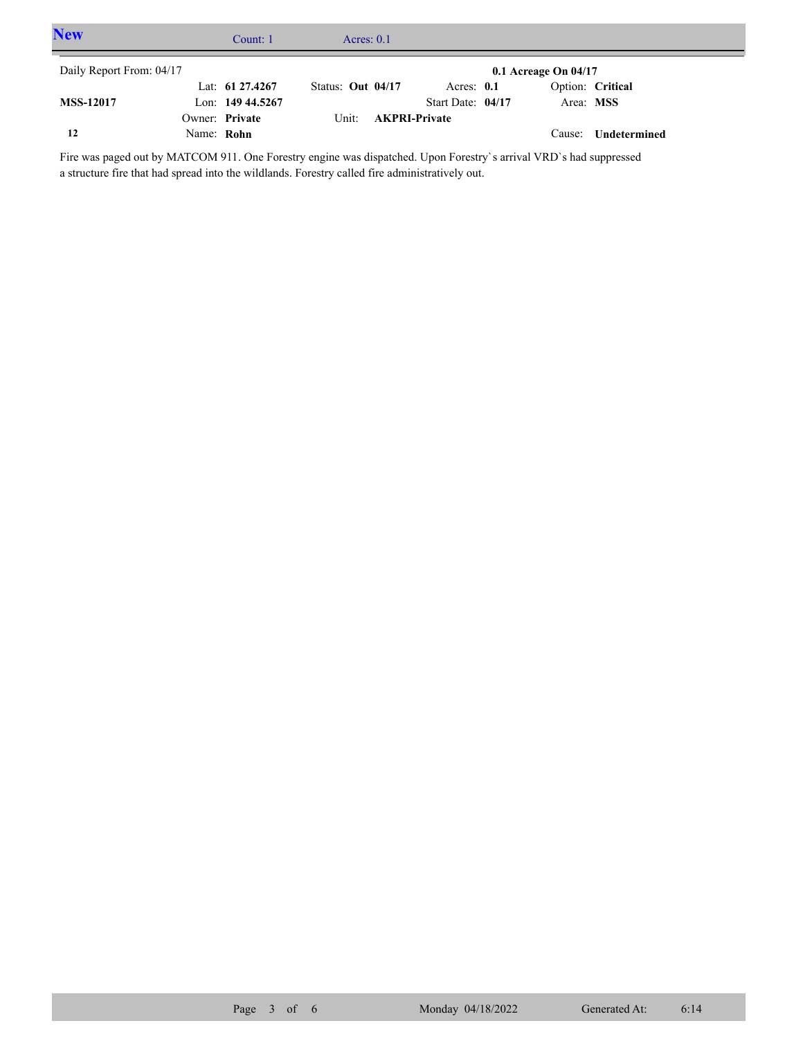| <b>New</b>               |            | Count: 1           |                     | Acres: $0.1$ |                      |                        |                     |  |
|--------------------------|------------|--------------------|---------------------|--------------|----------------------|------------------------|---------------------|--|
| Daily Report From: 04/17 |            |                    |                     |              |                      | 0.1 Acreage On $04/17$ |                     |  |
|                          |            | Lat: $61\,27.4267$ | Status: Out $04/17$ |              | Acres: $0.1$         |                        | Option: Critical    |  |
| <b>MSS-12017</b>         |            | Lon: $14944.5267$  |                     |              | Start Date: 04/17    | Area: MSS              |                     |  |
|                          |            | Owner: Private     | Unit:               |              | <b>AKPRI-Private</b> |                        |                     |  |
| 12                       | Name: Rohn |                    |                     |              |                      |                        | Cause: Undetermined |  |

Fire was paged out by MATCOM 911. One Forestry engine was dispatched. Upon Forestry`s arrival VRD`s had suppressed a structure fire that had spread into the wildlands. Forestry called fire administratively out.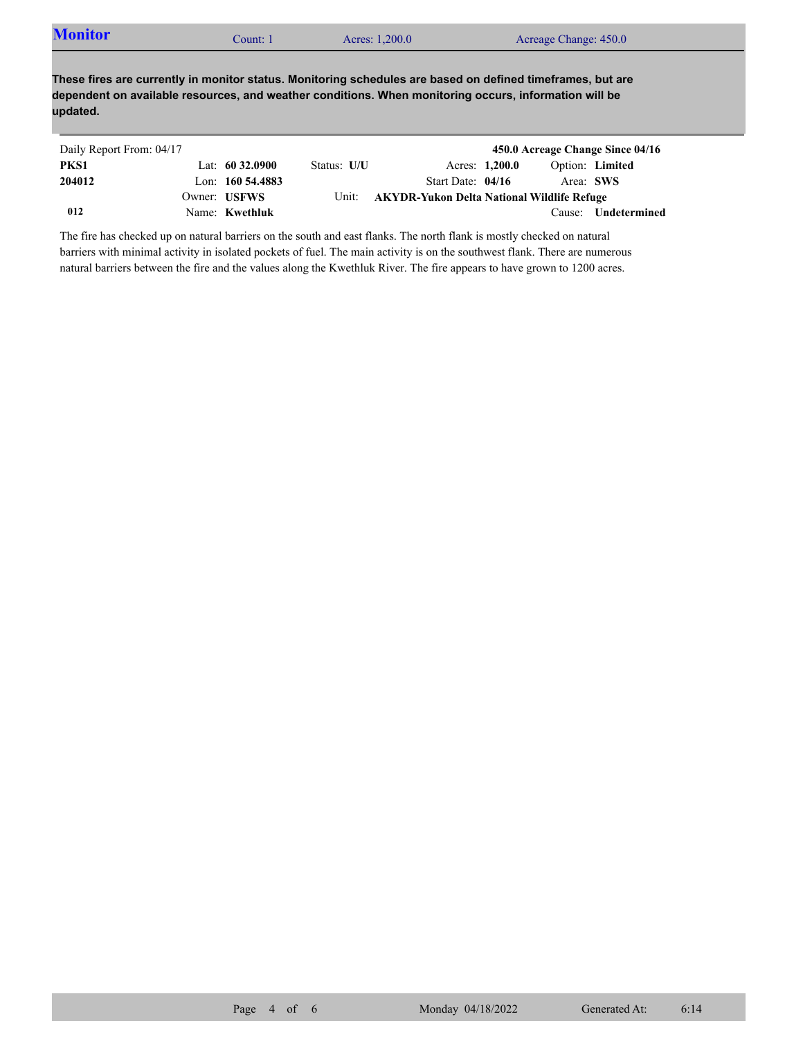| <b>Monitor</b> | Count: 1 | Acres: 1,200.0 | Acreage Change: 450.0 |  |
|----------------|----------|----------------|-----------------------|--|
|----------------|----------|----------------|-----------------------|--|

**These fires are currently in monitor status. Monitoring schedules are based on defined timeframes, but are dependent on available resources, and weather conditions. When monitoring occurs, information will be updated.**

| Daily Report From: 04/17 |                     |             |                                            |                |                        | 450.0 Acreage Change Since 04/16 |
|--------------------------|---------------------|-------------|--------------------------------------------|----------------|------------------------|----------------------------------|
| PKS1                     | Lat: $60\,32.0900$  | Status: U/U |                                            | Acres: 1,200.0 | <b>Option:</b> Limited |                                  |
| 204012                   | Lon: $160\,54.4883$ |             | Start Date: 04/16                          |                | Area: SWS              |                                  |
|                          | Owner: USFWS        | Unit:       | AKYDR-Yukon Delta National Wildlife Refuge |                |                        |                                  |
| 012                      | Name: Kwethluk      |             |                                            |                | Cause:                 | Undetermined                     |

The fire has checked up on natural barriers on the south and east flanks. The north flank is mostly checked on natural barriers with minimal activity in isolated pockets of fuel. The main activity is on the southwest flank. There are numerous natural barriers between the fire and the values along the Kwethluk River. The fire appears to have grown to 1200 acres.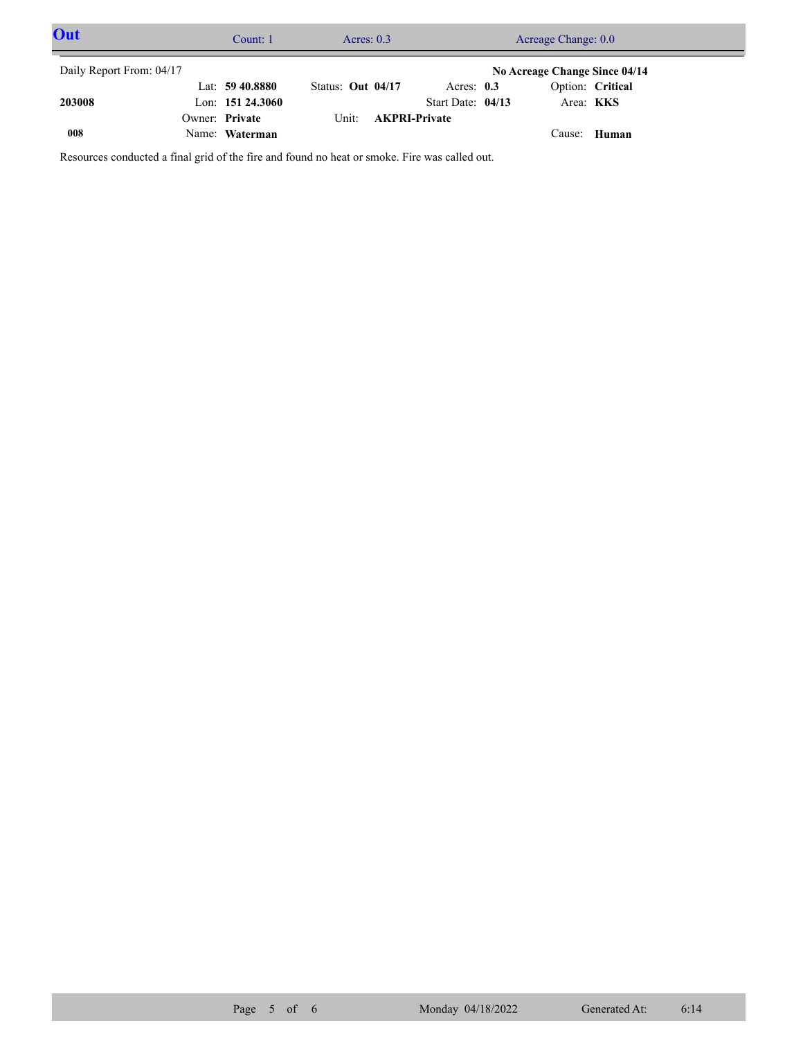| Out                      | Count: 1           | Acres: $0.3$      |                      | Acreage Change: 0.0 |                  |                               |  |
|--------------------------|--------------------|-------------------|----------------------|---------------------|------------------|-------------------------------|--|
| Daily Report From: 04/17 |                    |                   |                      |                     |                  | No Acreage Change Since 04/14 |  |
|                          | Lat: $59\,40.8880$ | Status: Out 04/17 | Acres: $0.3$         |                     | Option: Critical |                               |  |
| 203008                   | Lon: $15124.3060$  |                   | Start Date: 04/13    |                     | Area: <b>KKS</b> |                               |  |
|                          | Owner: Private     | Unit:             | <b>AKPRI-Private</b> |                     |                  |                               |  |
| 008                      | Name: Waterman     |                   |                      |                     | Cause:           | Human                         |  |

Resources conducted a final grid of the fire and found no heat or smoke. Fire was called out.